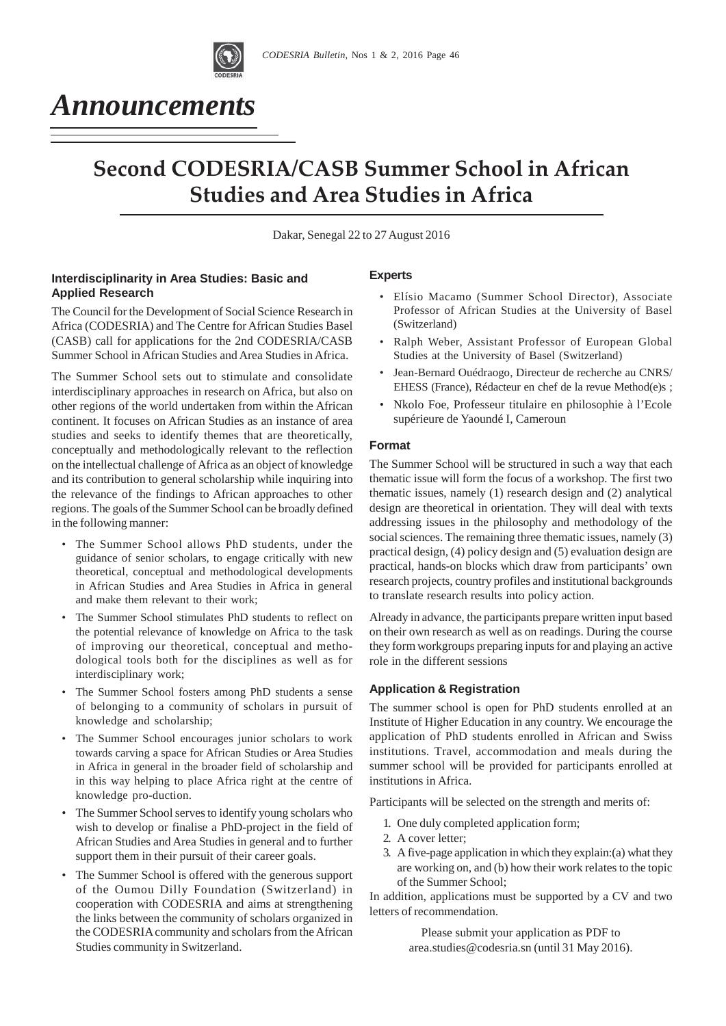

# *Announcements*

# **Second CODESRIA/CASB Summer School in African** *Studies and Area Studies in Africa*

Dakar, Senegal 22 to 27 August 2016

## **Interdisciplinarity in Area Studies: Basic and Applied Research**

The Council for the Development of Social Science Research in Africa (CODESRIA) and The Centre for African Studies Basel (CASB) call for applications for the 2nd CODESRIA/CASB Summer School in African Studies and Area Studies in Africa.

The Summer School sets out to stimulate and consolidate interdisciplinary approaches in research on Africa, but also on other regions of the world undertaken from within the African continent. It focuses on African Studies as an instance of area studies and seeks to identify themes that are theoretically, conceptually and methodologically relevant to the reflection on the intellectual challenge of Africa as an object of knowledge and its contribution to general scholarship while inquiring into the relevance of the findings to African approaches to other regions. The goals of the Summer School can be broadly defined in the following manner:

- The Summer School allows PhD students, under the guidance of senior scholars, to engage critically with new theoretical, conceptual and methodological developments in African Studies and Area Studies in Africa in general and make them relevant to their work;
- The Summer School stimulates PhD students to reflect on the potential relevance of knowledge on Africa to the task of improving our theoretical, conceptual and methodological tools both for the disciplines as well as for interdisciplinary work;
- The Summer School fosters among PhD students a sense of belonging to a community of scholars in pursuit of knowledge and scholarship;
- The Summer School encourages junior scholars to work towards carving a space for African Studies or Area Studies in Africa in general in the broader field of scholarship and in this way helping to place Africa right at the centre of knowledge pro-duction.
- The Summer School serves to identify young scholars who wish to develop or finalise a PhD-project in the field of African Studies and Area Studies in general and to further support them in their pursuit of their career goals.
- The Summer School is offered with the generous support of the Oumou Dilly Foundation (Switzerland) in cooperation with CODESRIA and aims at strengthening the links between the community of scholars organized in the CODESRIA community and scholars from the African Studies community in Switzerland.

## **Experts**

- Elísio Macamo (Summer School Director), Associate Professor of African Studies at the University of Basel (Switzerland)
- Ralph Weber, Assistant Professor of European Global Studies at the University of Basel (Switzerland)
- Jean-Bernard Ouédraogo, Directeur de recherche au CNRS/ EHESS (France), Rédacteur en chef de la revue Method(e)s ;
- Nkolo Foe, Professeur titulaire en philosophie à l'Ecole supérieure de Yaoundé I, Cameroun

## **Format**

The Summer School will be structured in such a way that each thematic issue will form the focus of a workshop. The first two thematic issues, namely (1) research design and (2) analytical design are theoretical in orientation. They will deal with texts addressing issues in the philosophy and methodology of the social sciences. The remaining three thematic issues, namely (3) practical design, (4) policy design and (5) evaluation design are practical, hands-on blocks which draw from participants' own research projects, country profiles and institutional backgrounds to translate research results into policy action.

Already in advance, the participants prepare written input based on their own research as well as on readings. During the course they form workgroups preparing inputs for and playing an active role in the different sessions

## **Application & Registration**

The summer school is open for PhD students enrolled at an Institute of Higher Education in any country. We encourage the application of PhD students enrolled in African and Swiss institutions. Travel, accommodation and meals during the summer school will be provided for participants enrolled at institutions in Africa.

Participants will be selected on the strength and merits of:

- 1. One duly completed application form;
- 2. A cover letter;
- 3. A five-page application in which they explain:(a) what they are working on, and (b) how their work relates to the topic of the Summer School;

In addition, applications must be supported by a CV and two letters of recommendation.

> Please submit your application as PDF to area.studies@codesria.sn (until 31 May 2016).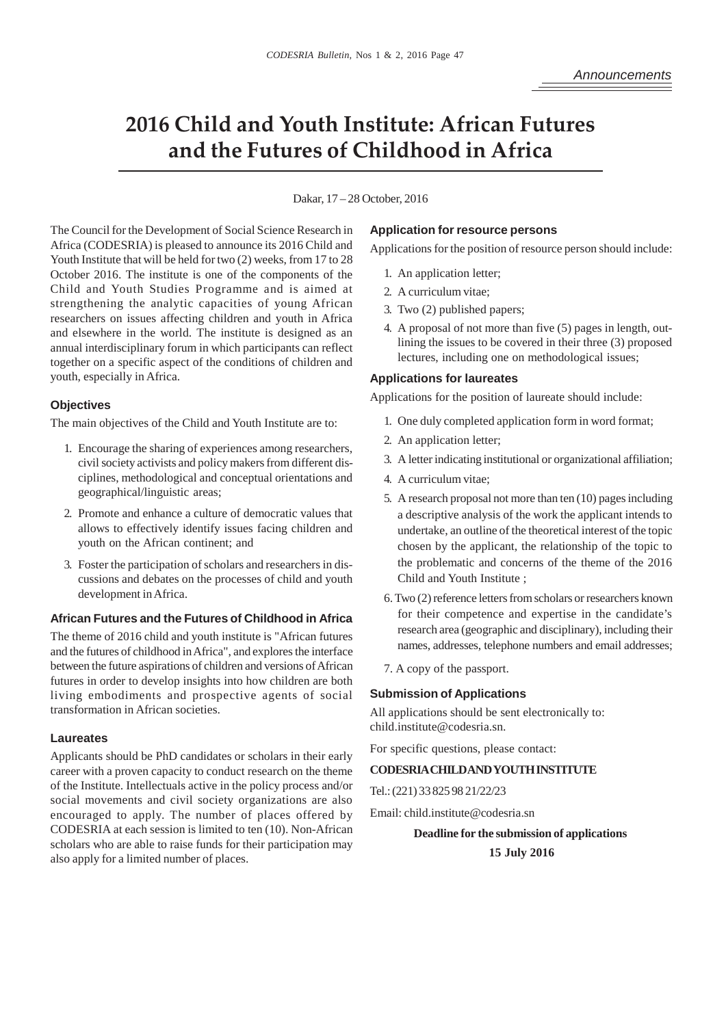## **2016 Child and Youth Institute: African Futures** and the Futures of Childhood in Africa

Dakar, 17 – 28 October, 2016

The Council for the Development of Social Science Research in Africa (CODESRIA) is pleased to announce its 2016 Child and Youth Institute that will be held for two (2) weeks, from 17 to 28 October 2016. The institute is one of the components of the Child and Youth Studies Programme and is aimed at strengthening the analytic capacities of young African researchers on issues affecting children and youth in Africa and elsewhere in the world. The institute is designed as an annual interdisciplinary forum in which participants can reflect together on a specific aspect of the conditions of children and youth, especially in Africa.

### **Objectives**

The main objectives of the Child and Youth Institute are to:

- 1. Encourage the sharing of experiences among researchers, civil society activists and policy makers from different disciplines, methodological and conceptual orientations and geographical/linguistic areas;
- 2. Promote and enhance a culture of democratic values that allows to effectively identify issues facing children and youth on the African continent; and
- 3. Foster the participation of scholars and researchers in discussions and debates on the processes of child and youth development in Africa.

#### **African Futures and the Futures of Childhood in Africa**

The theme of 2016 child and youth institute is "African futures and the futures of childhood in Africa", and explores the interface between the future aspirations of children and versions of African futures in order to develop insights into how children are both living embodiments and prospective agents of social transformation in African societies.

## **Laureates**

Applicants should be PhD candidates or scholars in their early career with a proven capacity to conduct research on the theme of the Institute. Intellectuals active in the policy process and/or social movements and civil society organizations are also encouraged to apply. The number of places offered by CODESRIA at each session is limited to ten (10). Non-African scholars who are able to raise funds for their participation may also apply for a limited number of places.

#### **Application for resource persons**

Applications for the position of resource person should include:

- 1. An application letter;
- 2. A curriculum vitae;
- 3. Two (2) published papers;
- 4. A proposal of not more than five (5) pages in length, outlining the issues to be covered in their three (3) proposed lectures, including one on methodological issues;

#### **Applications for laureates**

Applications for the position of laureate should include:

- 1. One duly completed application form in word format;
- 2. An application letter;
- 3. A letter indicating institutional or organizational affiliation;
- 4. A curriculum vitae;
- 5. A research proposal not more than ten (10) pages including a descriptive analysis of the work the applicant intends to undertake, an outline of the theoretical interest of the topic chosen by the applicant, the relationship of the topic to the problematic and concerns of the theme of the 2016 Child and Youth Institute ;
- 6. Two (2) reference letters from scholars or researchers known for their competence and expertise in the candidate's research area (geographic and disciplinary), including their names, addresses, telephone numbers and email addresses;
- 7. A copy of the passport.

#### **Submission of Applications**

All applications should be sent electronically to: child.institute@codesria.sn.

For specific questions, please contact:

## **CODESRIA CHILD AND YOUTH INSTITUTE**

Tel.: (221) 33 825 98 21/22/23

Email: child.institute@codesria.sn

**Deadline for the submission of applications 15 July 2016**